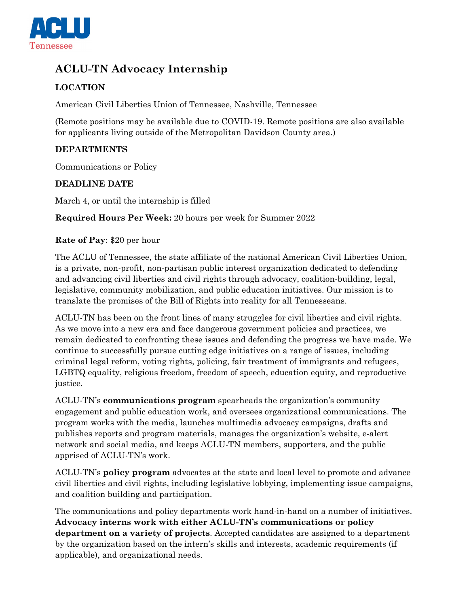

# **ACLU-TN Advocacy Internship**

# **LOCATION**

American Civil Liberties Union of Tennessee, Nashville, Tennessee

(Remote positions may be available due to COVID-19. Remote positions are also available for applicants living outside of the Metropolitan Davidson County area.)

## **DEPARTMENTS**

Communications or Policy

## **DEADLINE DATE**

March 4, or until the internship is filled

**Required Hours Per Week:** 20 hours per week for Summer 2022

#### **Rate of Pay**: \$20 per hour

The ACLU of Tennessee, the state affiliate of the national American Civil Liberties Union, is a private, non-profit, non-partisan public interest organization dedicated to defending and advancing civil liberties and civil rights through advocacy, coalition-building, legal, legislative, community mobilization, and public education initiatives. Our mission is to translate the promises of the Bill of Rights into reality for all Tennesseans.

ACLU-TN has been on the front lines of many struggles for civil liberties and civil rights. As we move into a new era and face dangerous government policies and practices, we remain dedicated to confronting these issues and defending the progress we have made. We continue to successfully pursue cutting edge initiatives on a range of issues, including criminal legal reform, voting rights, policing, fair treatment of immigrants and refugees, LGBTQ equality, religious freedom, freedom of speech, education equity, and reproductive justice.

ACLU-TN's **communications program** spearheads the organization's community engagement and public education work, and oversees organizational communications. The program works with the media, launches multimedia advocacy campaigns, drafts and publishes reports and program materials, manages the organization's website, e-alert network and social media, and keeps ACLU-TN members, supporters, and the public apprised of ACLU-TN's work.

ACLU-TN's **policy program** advocates at the state and local level to promote and advance civil liberties and civil rights, including legislative lobbying, implementing issue campaigns, and coalition building and participation.

The communications and policy departments work hand-in-hand on a number of initiatives. **Advocacy interns work with either ACLU-TN's communications or policy department on a variety of projects**. Accepted candidates are assigned to a department by the organization based on the intern's skills and interests, academic requirements (if applicable), and organizational needs.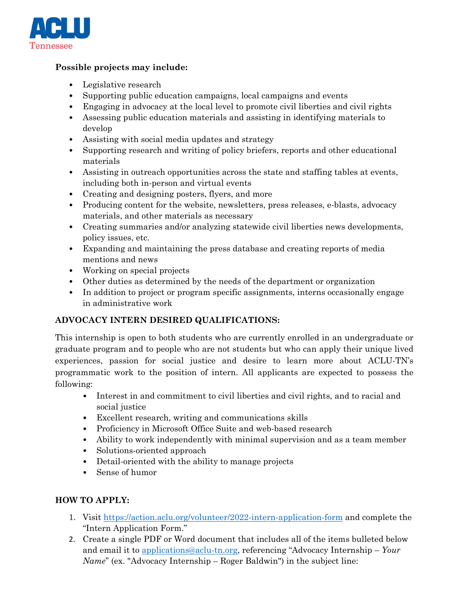

## **Possible projects may include:**

- Legislative research
- Supporting public education campaigns, local campaigns and events
- Engaging in advocacy at the local level to promote civil liberties and civil rights
- Assessing public education materials and assisting in identifying materials to develop
- Assisting with social media updates and strategy
- Supporting research and writing of policy briefers, reports and other educational materials
- Assisting in outreach opportunities across the state and staffing tables at events, including both in-person and virtual events
- Creating and designing posters, flyers, and more
- Producing content for the website, newsletters, press releases, e-blasts, advocacy materials, and other materials as necessary
- Creating summaries and/or analyzing statewide civil liberties news developments, policy issues, etc.
- Expanding and maintaining the press database and creating reports of media mentions and news
- Working on special projects
- Other duties as determined by the needs of the department or organization
- In addition to project or program specific assignments, interns occasionally engage in administrative work

# **ADVOCACY INTERN DESIRED QUALIFICATIONS:**

This internship is open to both students who are currently enrolled in an undergraduate or graduate program and to people who are not students but who can apply their unique lived experiences, passion for social justice and desire to learn more about ACLU-TN's programmatic work to the position of intern. All applicants are expected to possess the following:

- Interest in and commitment to civil liberties and civil rights, and to racial and social justice
- Excellent research, writing and communications skills
- Proficiency in Microsoft Office Suite and web-based research
- Ability to work independently with minimal supervision and as a team member
- Solutions-oriented approach
- Detail-oriented with the ability to manage projects
- Sense of humor

# **HOW TO APPLY:**

- 1. Visit<https://action.aclu.org/volunteer/2022-intern-application-form> and complete the "Intern Application Form."
- 2. Create a single PDF or Word document that includes all of the items bulleted below and email it to [applications@aclu-tn.org,](mailto:applications@aclu-tn.org) referencing "Advocacy Internship – *Your Name*" (ex. "Advocacy Internship – Roger Baldwin") in the subject line: